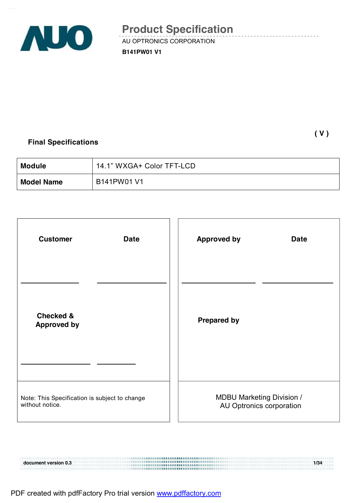

**B141PW01 V1** 

## **Final Specifications**

 **( V )** 

| <b>Module</b>     | 14.1" WXGA+ Color TFT-LCD |
|-------------------|---------------------------|
| <b>Model Name</b> | B141PW01 V1               |

| <b>Customer</b><br><b>Date</b>                                   | <b>Approved by</b>                                           | <b>Date</b> |
|------------------------------------------------------------------|--------------------------------------------------------------|-------------|
| <b>Checked &amp;</b><br><b>Approved by</b>                       | <b>Prepared by</b>                                           |             |
|                                                                  |                                                              |             |
| Note: This Specification is subject to change<br>without notice. | <b>MDBU Marketing Division /</b><br>AU Optronics corporation |             |

**document version 0.3 1/34**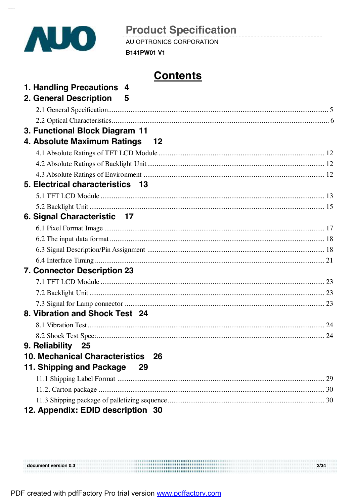

AU OPTRONICS CORPORATION

**B141PW01 V1** 

# **Contents**

| 1. Handling Precautions 4          |  |
|------------------------------------|--|
| 2. General Description 5           |  |
|                                    |  |
| 3. Functional Block Diagram 11     |  |
| 4. Absolute Maximum Ratings 12     |  |
|                                    |  |
|                                    |  |
|                                    |  |
| 5. Electrical characteristics 13   |  |
|                                    |  |
|                                    |  |
| 6. Signal Characteristic 17        |  |
|                                    |  |
|                                    |  |
|                                    |  |
|                                    |  |
| <b>7. Connector Description 23</b> |  |
|                                    |  |
|                                    |  |
|                                    |  |
| 8. Vibration and Shock Test 24     |  |
|                                    |  |
|                                    |  |
| 9. Reliability<br>- 25             |  |
| 10. Mechanical Characteristics 26  |  |
| 11. Shipping and Package<br>29     |  |
|                                    |  |
|                                    |  |
|                                    |  |
| 12. Appendix: EDID description 30  |  |

| document version 0.3 | 2/34 |
|----------------------|------|
|                      |      |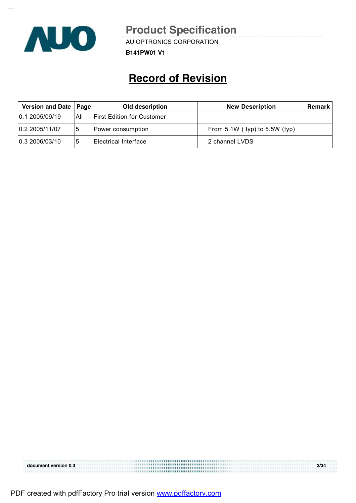

AU OPTRONICS CORPORATION

**B141PW01 V1** 

# **Record of Revision**

| Version and Date   Page |            | Old description                   | <b>New Description</b>            | Remark |
|-------------------------|------------|-----------------------------------|-----------------------------------|--------|
| 0.12005/09/19           | <b>AII</b> | <b>First Edition for Customer</b> |                                   |        |
| 0.2 2005/11/07          |            | Power consumption                 | From $5.1W$ (typ) to $5.5W$ (typ) |        |
| 0.3 2006/03/10          |            | Electrical Interface              | 2 channel LVDS                    |        |

|                      | --------- <b>---------------------------</b> |      |
|----------------------|----------------------------------------------|------|
| document version 0.3 | <br>                                         | 3/34 |
|                      |                                              |      |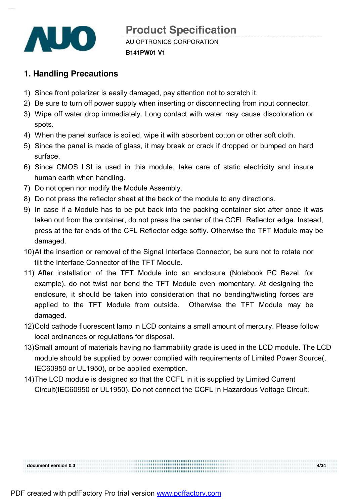

# **1. Handling Precautions**

- 1) Since front polarizer is easily damaged, pay attention not to scratch it.
- 2) Be sure to turn off power supply when inserting or disconnecting from input connector.
- 3) Wipe off water drop immediately. Long contact with water may cause discoloration or spots.
- 4) When the panel surface is soiled, wipe it with absorbent cotton or other soft cloth.
- 5) Since the panel is made of glass, it may break or crack if dropped or bumped on hard surface.
- 6) Since CMOS LSI is used in this module, take care of static electricity and insure human earth when handling.
- 7) Do not open nor modify the Module Assembly.
- 8) Do not press the reflector sheet at the back of the module to any directions.
- 9) In case if a Module has to be put back into the packing container slot after once it was taken out from the container, do not press the center of the CCFL Reflector edge. Instead, press at the far ends of the CFL Reflector edge softly. Otherwise the TFT Module may be damaged.
- 10)At the insertion or removal of the Signal Interface Connector, be sure not to rotate nor tilt the Interface Connector of the TFT Module.
- 11) After installation of the TFT Module into an enclosure (Notebook PC Bezel, for example), do not twist nor bend the TFT Module even momentary. At designing the enclosure, it should be taken into consideration that no bending/twisting forces are applied to the TFT Module from outside. Otherwise the TFT Module may be damaged.
- 12)Cold cathode fluorescent lamp in LCD contains a small amount of mercury. Please follow local ordinances or regulations for disposal.
- 13)Small amount of materials having no flammability grade is used in the LCD module. The LCD module should be supplied by power complied with requirements of Limited Power Source(, IEC60950 or UL1950), or be applied exemption.

14)The LCD module is designed so that the CCFL in it is supplied by Limited Current Circuit(IEC60950 or UL1950). Do not connect the CCFL in Hazardous Voltage Circuit.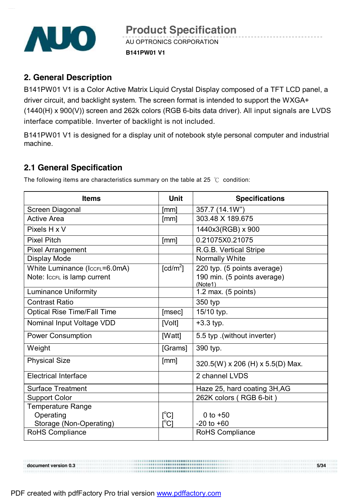

## **2. General Description**

B141PW01 V1 is a Color Active Matrix Liquid Crystal Display composed of a TFT LCD panel, a driver circuit, and backlight system. The screen format is intended to support the WXGA+ (1440(H) x 900(V)) screen and 262k colors (RGB 6-bits data driver). All input signals are LVDS interface compatible. Inverter of backlight is not included.

B141PW01 V1 is designed for a display unit of notebook style personal computer and industrial machine.

## **2.1 General Specification**

The following items are characteristics summary on the table at 25  $°C$  condition:

| <b>Items</b>                       | <b>Unit</b>                                 | <b>Specifications</b>                  |
|------------------------------------|---------------------------------------------|----------------------------------------|
| Screen Diagonal                    | [mm]                                        | 357.7 (14.1W")                         |
| <b>Active Area</b>                 | [mm]                                        | 303.48 X 189.675                       |
| Pixels H x V                       |                                             | 1440x3(RGB) x 900                      |
| <b>Pixel Pitch</b>                 | [mm]                                        | 0.21075X0.21075                        |
| <b>Pixel Arrangement</b>           |                                             | R.G.B. Vertical Stripe                 |
| <b>Display Mode</b>                |                                             | <b>Normally White</b>                  |
| White Luminance (IccFL=6.0mA)      | $\lceil cd/m^2 \rceil$                      | 220 typ. (5 points average)            |
| Note: IccrL is lamp current        |                                             | 190 min. (5 points average)<br>(Note1) |
| <b>Luminance Uniformity</b>        |                                             | 1.2 max. (5 points)                    |
| <b>Contrast Ratio</b>              |                                             | 350 typ                                |
| <b>Optical Rise Time/Fall Time</b> | [msec]                                      | 15/10 typ.                             |
| Nominal Input Voltage VDD          | [Volt]                                      | $+3.3$ typ.                            |
| <b>Power Consumption</b>           | [Watt]                                      | 5.5 typ. (without inverter)            |
| Weight                             | [Grams]                                     | 390 typ.                               |
| <b>Physical Size</b>               | [mm]                                        | 320.5(W) x 206 (H) x 5.5(D) Max.       |
| <b>Electrical Interface</b>        |                                             | 2 channel LVDS                         |
| <b>Surface Treatment</b>           |                                             | Haze 25, hard coating 3H, AG           |
| <b>Support Color</b>               |                                             | 262K colors (RGB 6-bit)                |
| <b>Temperature Range</b>           |                                             |                                        |
| Operating                          | $\lceil{^{\circ}C}\rceil$                   | 0 to $+50$                             |
| Storage (Non-Operating)            | $\mathop{\rm l\mskip -3.5mu\rm C}\nolimits$ | $-20$ to $+60$                         |
| RoHS Compliance                    |                                             | <b>RoHS Compliance</b>                 |

**document** version 0.3 **5/34**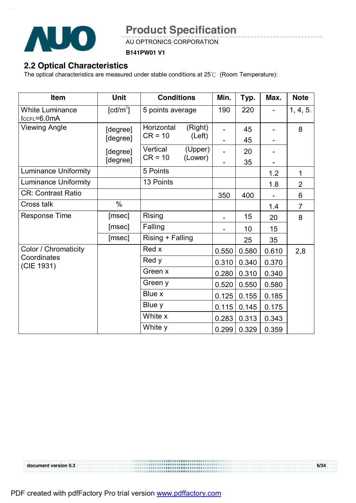

AU OPTRONICS CORPORATION

**B141PW01 V1** 

# **2.2 Optical Characteristics**

The optical characteristics are measured under stable conditions at 25℃ (Room Temperature):

| Item                                      | <b>Unit</b>                    | <b>Conditions</b>       |                    | Min.  | Typ.     | Max.  | <b>Note</b>    |
|-------------------------------------------|--------------------------------|-------------------------|--------------------|-------|----------|-------|----------------|
| <b>White Luminance</b><br>$lccFL = 6.0mA$ | $\lceil \frac{cd}{m^2} \rceil$ | 5 points average        |                    | 190   | 220      |       | 1, 4, 5.       |
| <b>Viewing Angle</b>                      | [degree]<br>[degree]           | Horizontal<br>$CR = 10$ | (Right)<br>(Left)  |       | 45<br>45 |       | 8              |
|                                           | [degree]<br>[degree]           | Vertical<br>$CR = 10$   | (Upper)<br>(Lower) |       | 20<br>35 |       |                |
| <b>Luminance Uniformity</b>               |                                | 5 Points                |                    |       |          | 1.2   | 1              |
| <b>Luminance Uniformity</b>               |                                | 13 Points               |                    |       |          | 1.8   | $\overline{2}$ |
| <b>CR: Contrast Ratio</b>                 |                                |                         |                    | 350   | 400      |       | 6              |
| Cross talk                                | $\%$                           |                         |                    |       |          | 1.4   | $\overline{7}$ |
| <b>Response Time</b>                      | [msec]                         | <b>Rising</b>           |                    |       | 15       | 20    | 8              |
|                                           | [msec]                         | Falling                 |                    |       | 10       | 15    |                |
|                                           | [msec]                         | Rising + Falling        |                    |       | 25       | 35    |                |
| Color / Chromaticity                      |                                | Red x                   |                    | 0.550 | 0.580    | 0.610 | 2,8            |
| Coordinates<br>(CIE 1931)                 |                                | Red y                   |                    | 0.310 | 0.340    | 0.370 |                |
|                                           |                                | Green x                 |                    | 0.280 | 0.310    | 0.340 |                |
|                                           |                                | Green y                 |                    | 0.520 | 0.550    | 0.580 |                |
|                                           |                                | Blue x                  |                    | 0.125 | 0.155    | 0.185 |                |
|                                           |                                | Blue y                  |                    | 0.115 | 0.145    | 0.175 |                |
|                                           |                                | White x                 |                    | 0.283 | 0.313    | 0.343 |                |
|                                           |                                | White y                 |                    | 0.299 | 0.329    | 0.359 |                |

**document version 0.3 6/34**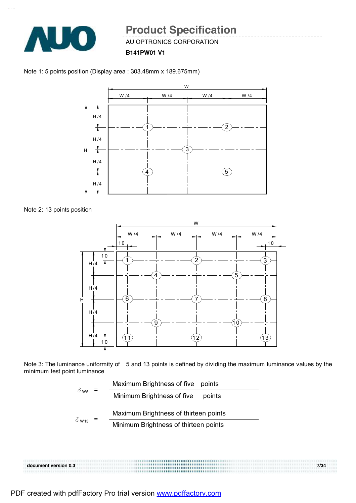

AU OPTRONICS CORPORATION

**B141PW01 V1** 





Note 2: 13 points position



Note 3: The luminance uniformity of 5 and 13 points is defined by dividing the maximum luminance values by the minimum test point luminance

| $\delta$ ws  | Maximum Brightness of five points     |
|--------------|---------------------------------------|
|              | Minimum Brightness of five<br>points  |
|              | Maximum Brightness of thirteen points |
| $\delta$ W13 | Minimum Brightness of thirteen points |
|              |                                       |

**document version 0.3 7/34**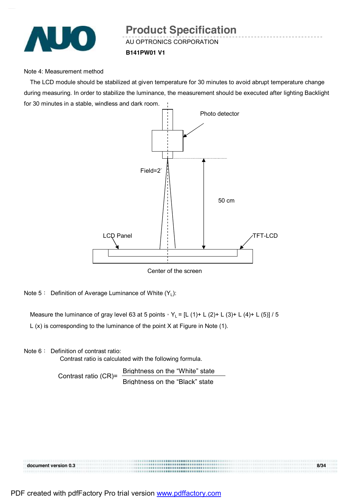

# AU OPTRONICS CORPORATION **Product Specification**

**B141PW01 V1** 

#### Note 4: Measurement method

The LCD module should be stabilized at given temperature for 30 minutes to avoid abrupt temperature change during measuring. In order to stabilize the luminance, the measurement should be executed after lighting Backlight for 30 minutes in a stable, windless and dark room.



Center of the screen

Note 5: Definition of Average Luminance of White  $(Y_L)$ :

Measure the luminance of gray level 63 at 5 points,  $Y_L = [L (1) + L (2) + L (3) + L (4) + L (5)] / 5$ 

L (x) is corresponding to the luminance of the point X at Figure in Note (1).

Note 6: Definition of contrast ratio:

Contrast ratio is calculated with the following formula.

Contrast ratio (CR)= Brightness on the "White" state Brightness on the "Black" state

**document version 0.3 8/34**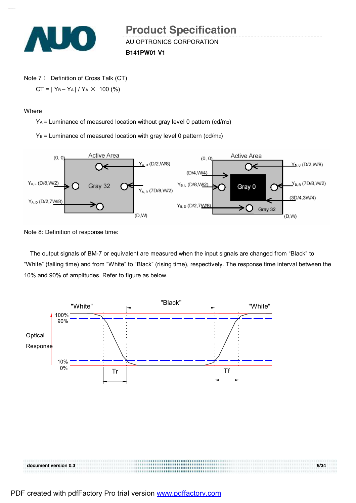

AU OPTRONICS CORPORATION **Product Specification** 

**B141PW01 V1** 

Note 7: Definition of Cross Talk (CT)

 $CT = |Y_B - Y_A| / Y_A \times 100$  (%)

**Where** 

YA = Luminance of measured location without gray level 0 pattern (cd/m2)

 $Y_B$  = Luminance of measured location with gray level 0 pattern (cd/m<sub>2</sub>)



Note 8: Definition of response time:

The output signals of BM-7 or equivalent are measured when the input signals are changed from "Black" to "White" (falling time) and from "White" to "Black" (rising time), respectively. The response time interval between the 10% and 90% of amplitudes. Refer to figure as below.



| document version 0.3 |         | 9/34 |
|----------------------|---------|------|
|                      | <b></b> |      |
|                      | <b></b> |      |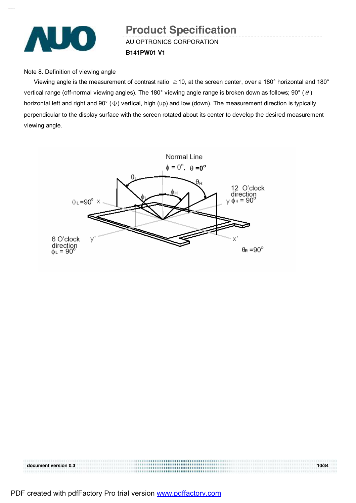

# AU OPTRONICS CORPORATION **B141PW01 V1 Product Specification**

Note 8. Definition of viewing angle

Viewing angle is the measurement of contrast ratio  $\geq$  10, at the screen center, over a 180° horizontal and 180° vertical range (off-normal viewing angles). The 180° viewing angle range is broken down as follows; 90° ( $\theta$ ) horizontal left and right and 90° (Φ) vertical, high (up) and low (down). The measurement direction is typically perpendicular to the display surface with the screen rotated about its center to develop the desired measurement viewing angle.



| document version 0.3 | 10/34 |
|----------------------|-------|
|                      |       |
|                      |       |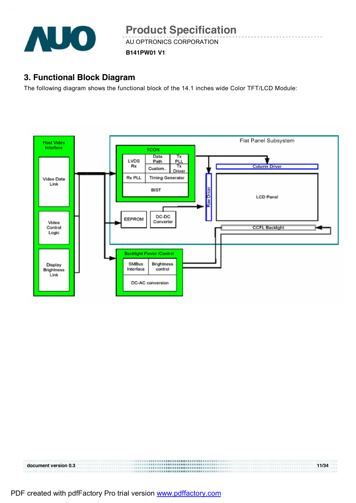

AU OPTRONICS CORPORATION

**B141PW01 V1** 

## **3. Functional Block Diagram**

The following diagram shows the functional block of the 14.1 inches wide Color TFT/LCD Module:



| document version 0.3 | 11/34 |
|----------------------|-------|
|                      |       |
|                      |       |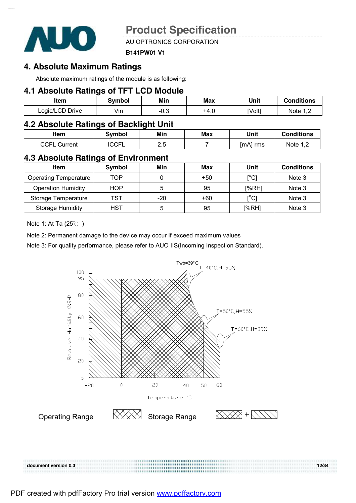

AU OPTRONICS CORPORATION

#### **B141PW01 V1**

## **4. Absolute Maximum Ratings**

Absolute maximum ratings of the module is as following:

## **4.1 Absolute Ratings of TFT LCD Module**

| <b>Item</b>     | Svmbol | Min        | Max  | Unit   | <b>Conditions</b> |
|-----------------|--------|------------|------|--------|-------------------|
| Logic/LCD Drive | Vin    | ົດ<br>−∪.ບ | +4.u | [Volt] | Note $1^{\circ}$  |

## **4.2 Absolute Ratings of Backlight Unit**

| Item            | Svmbol       | Min        | Max | Unit     | <b>Conditions</b> |
|-----------------|--------------|------------|-----|----------|-------------------|
| CCFL<br>Current | <b>ICCFL</b> | E<br>ـ. ــ |     | [mA] rms | Note $1,^{\sim}$  |

## **4.3 Absolute Ratings of Environment**

| <b>Item</b>                  | Symbol     | Min | Max | Unit                                    | <b>Conditions</b> |
|------------------------------|------------|-----|-----|-----------------------------------------|-------------------|
| <b>Operating Temperature</b> | TOP        |     | +50 | $\mathsf{I}^\circ\mathsf{C} \mathsf{I}$ | Note 3            |
| <b>Operation Humidity</b>    | <b>HOP</b> | 5   | 95  | [%RH]                                   | Note 3            |
| Storage Temperature          | TST        | -20 | +60 | $\mathsf{I}^\circ\mathsf{C} \mathsf{I}$ | Note 3            |
| <b>Storage Humidity</b>      | <b>HST</b> | 5   | 95  | [%RH]                                   | Note 3            |

Note 1: At Ta (25℃ )

Note 2: Permanent damage to the device may occur if exceed maximum values

Note 3: For quality performance, please refer to AUO IIS(Incoming Inspection Standard).



**document** version 0.3 **12/34 <b>12/34 12/34 12/34 12/34 12/34 12/34 12/34 12/34 12/34 12/34 12/34 12/34 12/34 12/34 12/34 12/34 12/34 12/34 12/34 12/34 12/34 12/34 12/34 12/34 12/34 12/34 12/34 12/34 12/34 12/34 12/34 12/** 

| 2/34 |  |
|------|--|
|      |  |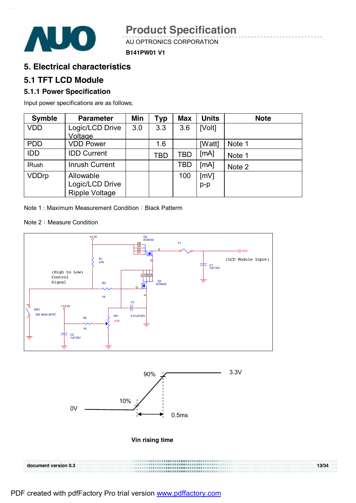

AU OPTRONICS CORPORATION





## **5. Electrical characteristics**

## **5.1 TFT LCD Module**

### **5.1.1 Power Specification**

Input power specifications are as follows;

| <b>Symble</b> | <b>Parameter</b>      | Min | <b>Typ</b> | <b>Max</b> | <b>Units</b> | <b>Note</b> |
|---------------|-----------------------|-----|------------|------------|--------------|-------------|
| <b>VDD</b>    | Logic/LCD Drive       | 3.0 | 3.3        | 3.6        | [Volt]       |             |
|               | Voltage               |     |            |            |              |             |
| <b>PDD</b>    | <b>VDD Power</b>      |     | 1.6        |            | [Watt]       | Note 1      |
| <b>IDD</b>    | <b>IDD Current</b>    |     | TBD        | TBD        | [mA]         | Note 1      |
| <b>IRush</b>  | <b>Inrush Current</b> |     |            | TBD        | [MA]         | Note 2      |
| <b>VDDrp</b>  | Allowable             |     |            | 100        | [mV]         |             |
|               | Logic/LCD Drive       |     |            |            | $p-p$        |             |
|               | <b>Ripple Voltage</b> |     |            |            |              |             |

Note 1: Maximum Measurement Condition: Black Patterm

Note 2: Measure Condition





#### **Vin rising time**

| document version 0.3 | 13/34 |
|----------------------|-------|
|                      |       |
|                      |       |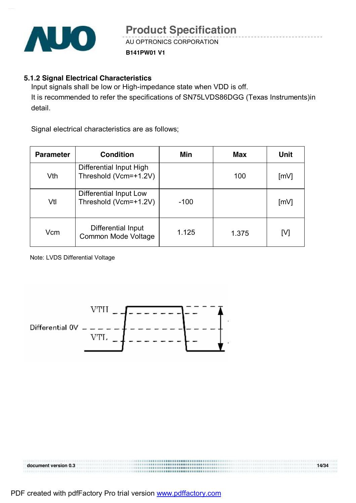

#### **B141PW01 V1**

#### **5.1.2 Signal Electrical Characteristics**

Input signals shall be low or High-impedance state when VDD is off. It is recommended to refer the specifications of SN75LVDS86DGG (Texas Instruments)in detail.

Signal electrical characteristics are as follows;

| <b>Parameter</b> | <b>Condition</b>                                 | Min    | <b>Max</b> | <b>Unit</b>        |
|------------------|--------------------------------------------------|--------|------------|--------------------|
| Vth              | Differential Input High<br>Threshold (Vcm=+1.2V) |        | 100        | [mV]               |
| Vtl              | Differential Input Low<br>Threshold (Vcm=+1.2V)  | $-100$ |            | $\lceil mV \rceil$ |
| Vcm              | Differential Input<br><b>Common Mode Voltage</b> | 1.125  | 1.375      | [V]                |

Note: LVDS Differential Voltage



|                      | <b></b> |       |
|----------------------|---------|-------|
| document version 0.3 |         | 14/34 |
|                      |         |       |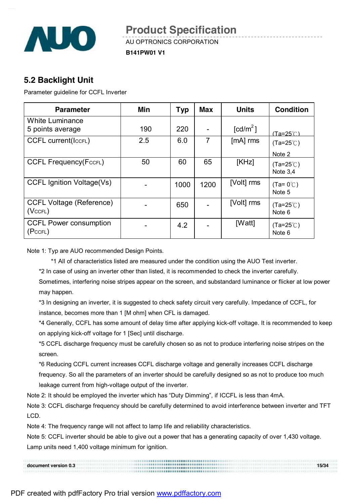

AU OPTRONICS CORPORATION

**B141PW01 V1** 

## **5.2 Backlight Unit**

Parameter guideline for CCFL Inverter

| <b>Parameter</b>                                 | Min | <b>Typ</b> | Max  | <b>Units</b>           | <b>Condition</b>                        |
|--------------------------------------------------|-----|------------|------|------------------------|-----------------------------------------|
| <b>White Luminance</b><br>5 points average       | 190 | 220        |      | $\lceil cd/m^2 \rceil$ |                                         |
|                                                  |     |            |      |                        | (Ta=25℃)                                |
| <b>CCFL current(IccFL)</b>                       | 2.5 | 6.0        | 7    | $[MA]$ rms             | $(Ta=25^{\circ}C)$                      |
|                                                  |     |            |      |                        | Note 2                                  |
| <b>CCFL Frequency(FccFL)</b>                     | 50  | 60         | 65   | [KHz]                  | $(Ta=25^{\circ}C)$<br>Note $3,4$        |
| <b>CCFL Ignition Voltage(Vs)</b>                 |     | 1000       | 1200 | [Volt] rms             | $(Ta=0^{\circ}\text{C})$<br>Note 5      |
| <b>CCFL Voltage (Reference)</b><br>$(Vc$ CFL $)$ |     | 650        |      | [Volt] rms             | $(Ta=25^{\circ}C)$<br>Note 6            |
| <b>CCFL Power consumption</b><br>(PccFL)         |     | 4.2        |      | [Watt]                 | $(Ta=25^{\circ}C)$<br>Note <sub>6</sub> |

Note 1: Typ are AUO recommended Design Points.

\*1 All of characteristics listed are measured under the condition using the AUO Test inverter.

\*2 In case of using an inverter other than listed, it is recommended to check the inverter carefully.

Sometimes, interfering noise stripes appear on the screen, and substandard luminance or flicker at low power may happen.

\*3 In designing an inverter, it is suggested to check safety circuit very carefully. Impedance of CCFL, for instance, becomes more than 1 [M ohm] when CFL is damaged.

\*4 Generally, CCFL has some amount of delay time after applying kick-off voltage. It is recommended to keep on applying kick-off voltage for 1 [Sec] until discharge.

\*5 CCFL discharge frequency must be carefully chosen so as not to produce interfering noise stripes on the screen.

\*6 Reducing CCFL current increases CCFL discharge voltage and generally increases CCFL discharge frequency. So all the parameters of an inverter should be carefully designed so as not to produce too much leakage current from high-voltage output of the inverter.

Note 2: It should be employed the inverter which has "Duty Dimming", if ICCFL is less than 4mA.

Note 3: CCFL discharge frequency should be carefully determined to avoid interference between inverter and TFT LCD.

Note 4: The frequency range will not affect to lamp life and reliability characteristics.

Note 5: CCFL inverter should be able to give out a power that has a generating capacity of over 1,430 voltage. Lamp units need 1,400 voltage minimum for ignition.

| document version 0.3 | 15/34 |
|----------------------|-------|
|                      |       |
|                      |       |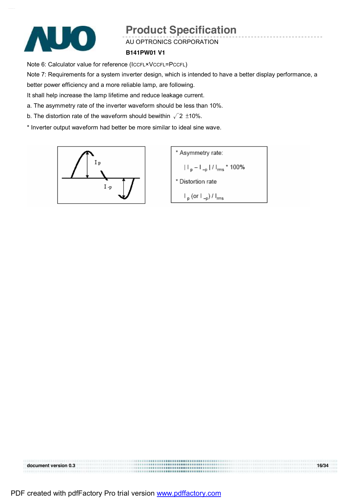

#### AU OPTRONICS CORPORATION

#### **B141PW01 V1**

Note 6: Calculator value for reference (ICCFL×VCCFL=PCCFL)

Note 7: Requirements for a system inverter design, which is intended to have a better display performance, a

better power efficiency and a more reliable lamp, are following.

It shall help increase the lamp lifetime and reduce leakage current.

- a. The asymmetry rate of the inverter waveform should be less than 10%.
- b. The distortion rate of the waveform should bewithin  $\sqrt{2}$  ±10%.
- \* Inverter output waveform had better be more similar to ideal sine wave.



\* Asymmetry rate:  $|||_{p} - ||_{-p}||/||_{rms} * 100\%$ \* Distortion rate  $\mathsf{I}_{\mathsf{p}}$  (or  $\mathsf{I}_{\mathsf{-p}}$ ) /  $\mathsf{I}_{\mathsf{rms}}$ 

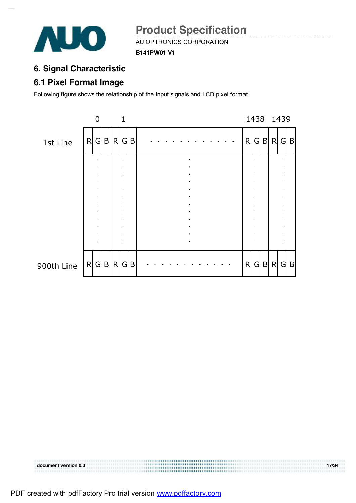

**B141PW01 V1** 

# **6. Signal Characteristic**

## **6.1 Pixel Format Image**

Following figure shows the relationship of the input signals and LCD pixel format.



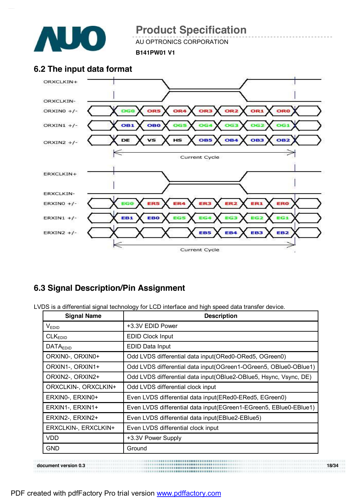

AU OPTRONICS CORPORATION

**B141PW01 V1** 

## **6.2 The input data format**



## **6.3 Signal Description/Pin Assignment**

LVDS is a differential signal technology for LCD interface and high speed data transfer device.

| <b>Signal Name</b>   | <b>Description</b>                                                |
|----------------------|-------------------------------------------------------------------|
| VEDID                | +3.3V EDID Power                                                  |
| CLK <sub>EDID</sub>  | <b>EDID Clock Input</b>                                           |
| <b>DATAEDID</b>      | EDID Data Input                                                   |
| ORXINO-, ORXINO+     | Odd LVDS differential data input (ORed0-ORed5, OGreen0)           |
| ORXIN1-, ORXIN1+     | Odd LVDS differential data input (OGreen1-OGreen5, OBlue0-OBlue1) |
| ORXIN2-, ORXIN2+     | Odd LVDS differential data input(OBlue2-OBlue5, Hsync, Vsync, DE) |
| ORXCLKIN-, ORXCLKIN+ | Odd LVDS differential clock input                                 |
| ERXINO-, ERXINO+     | Even LVDS differential data input(ERed0-ERed5, EGreen0)           |
| ERXIN1-, ERXIN1+     | Even LVDS differential data input(EGreen1-EGreen5, EBlue0-EBlue1) |
| ERXIN2-, ERXIN2+     | Even LVDS differential data input(EBlue2-EBlue5)                  |
| ERXCLKIN-, ERXCLKIN+ | Even LVDS differential clock input                                |
| <b>VDD</b>           | +3.3V Power Supply                                                |
| <b>GND</b>           | Ground                                                            |

**document version 0.3 18/34**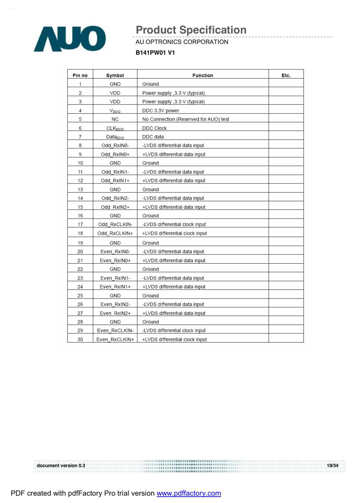

#### AU OPTRONICS CORPORATION

#### **B141PW01 V1**

| Pin no | Symbol         | <b>Function</b>                       | Etc. |
|--------|----------------|---------------------------------------|------|
| 1      | GND            | Ground                                |      |
| 2      | VDD            | Power supply , 3.3 V (typical)        |      |
| 3      | VDD            | Power supply , 3.3 V (typical)        |      |
| 4      | VEDID          | DDC 3.3V power                        |      |
| 5      | NC             | No Connection (Reserved for AUO) test |      |
| 6      | <b>CLKEDID</b> | DDC Clock                             |      |
| 7      | $Data_{EDID}$  | DDC data                              |      |
| 8      | Odd RxIN0-     | -LVDS differential data input         |      |
| 9      | Odd RxIN0+     | +LVDS differential data input         |      |
| 10     | GND            | Ground                                |      |
| 11     | Odd RxIN1-     | -LVDS differential data input         |      |
| 12     | Odd RxIN1+     | +LVDS differential data input         |      |
| 13     | GND            | Ground                                |      |
| 14     | Odd RxIN2-     | -LVDS differential data input         |      |
| 15     | Odd RxIN2+     | +LVDS differential data input         |      |
| 16     | GND            | Ground                                |      |
| 17     | Odd RxCLKIN-   | -LVDS differential clock input        |      |
| 18     | Odd_RxCLKIN+   | +LVDS differential clock input        |      |
| 19     | GND            | Ground                                |      |
| 20     | Even RxIN0-    | -LVDS differential data input         |      |
| 21     | Even RxIN0+    | +LVDS differential data input         |      |
| 22     | GND            | Ground                                |      |
| 23     | Even RxIN1-    | -LVDS differential data input         |      |
| 24     | Even RxIN1+    | +LVDS differential data input         |      |
| 25     | GND            | Ground                                |      |
| 26     | Even RxIN2-    | -LVDS differential data input         |      |
| 27     | Even RxIN2+    | +LVDS differential data input         |      |
| 28     | GND            | Ground                                |      |
| 29     | Even RxCLKIN-  | -LVDS differential clock input        |      |
| 30     | Even RxCLKIN+  | +LVDS differential clock input        |      |

**document version 0.3 19/34**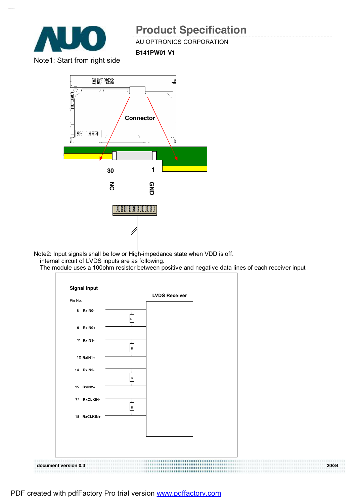

AU OPTRONICS CORPORATION

**B141PW01 V1** 

Note1: Start from right side



Note2: Input signals shall be low or High-impedance state when VDD is off. internal circuit of LVDS inputs are as following.

The module uses a 100ohm resistor between positive and negative data lines of each receiver input

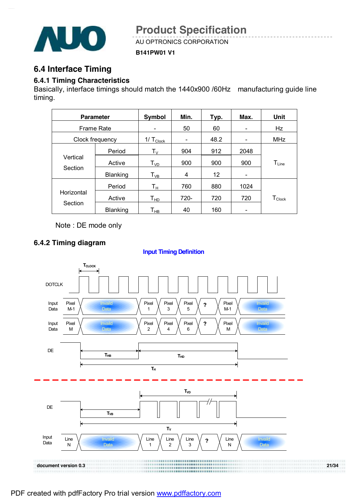

AU OPTRONICS CORPORATION

**B141PW01 V1** 

## **6.4 Interface Timing**

#### **6.4.1 Timing Characteristics**

Basically, interface timings should match the 1440x900 /60Hz manufacturing guide line timing.

| <b>Parameter</b>    |                 | <b>Symbol</b>           | Min. | Typ. | Max. | <b>Unit</b>          |  |
|---------------------|-----------------|-------------------------|------|------|------|----------------------|--|
| <b>Frame Rate</b>   |                 |                         | 50   | 60   |      | Hz                   |  |
|                     | Clock frequency | $1/\top_{\text{Clock}}$ |      | 48.2 |      | <b>MHz</b>           |  |
|                     | Period          | $\mathsf{T}_\mathsf{V}$ | 904  | 912  | 2048 |                      |  |
| Vertical<br>Section | Active          | $T_{VD}$                | 900  | 900  | 900  | $T_{Line}$           |  |
|                     | <b>Blanking</b> | $T_{VB}$                | 4    | 12   |      |                      |  |
|                     | Period          | Tн                      | 760  | 880  | 1024 |                      |  |
| Horizontal          | Active          | Т <sub>нр</sub>         | 720- | 720  | 720  | $T_{\mathsf{Clock}}$ |  |
| Section             | Blanking        | Т <sub>нв</sub>         | 40   | 160  |      |                      |  |

Note : DE mode only

#### **6.4.2 Timing diagram**

#### **Input Timing Definition**

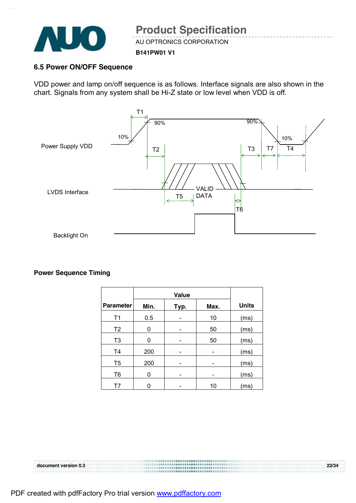

AU OPTRONICS CORPORATION

#### **B141PW01 V1**

#### **6.5 Power ON/OFF Sequence**

VDD power and lamp on/off sequence is as follows. Interface signals are also shown in the chart. Signals from any system shall be Hi-Z state or low level when VDD is off.



#### **Power Sequence Timing**

|                  | <b>Value</b> |      |      |              |
|------------------|--------------|------|------|--------------|
| <b>Parameter</b> | Min.         | Typ. | Max. | <b>Units</b> |
| T <sub>1</sub>   | 0.5          |      | 10   | (ms)         |
| T <sub>2</sub>   | 0            |      | 50   | (ms)         |
| T <sub>3</sub>   | 0            |      | 50   | (ms)         |
| T <sub>4</sub>   | 200          |      |      | (ms)         |
| T <sub>5</sub>   | 200          |      |      | (ms)         |
| T <sub>6</sub>   | 0            |      |      | (ms)         |
| T7               |              |      | 10   | (ms)         |

# **document version 0.3 22/34**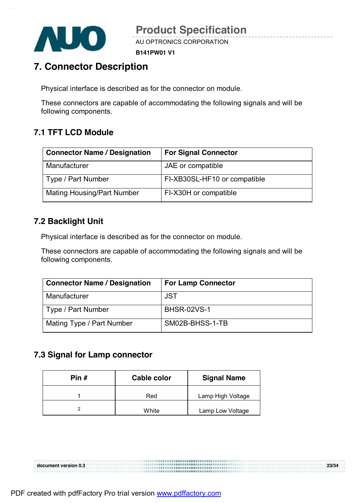

**B141PW01 V1** 

# **7. Connector Description**

Physical interface is described as for the connector on module.

These connectors are capable of accommodating the following signals and will be following components.

# **7.1 TFT LCD Module**

| <b>Connector Name / Designation</b> | <b>For Signal Connector</b>  |
|-------------------------------------|------------------------------|
| Manufacturer                        | JAE or compatible            |
| Type / Part Number                  | FI-XB30SL-HF10 or compatible |
| <b>Mating Housing/Part Number</b>   | FI-X30H or compatible        |

## **7.2 Backlight Unit**

Physical interface is described as for the connector on module.

These connectors are capable of accommodating the following signals and will be following components.

| <b>Connector Name / Designation</b> | <b>For Lamp Connector</b> |
|-------------------------------------|---------------------------|
| Manufacturer                        | <b>JST</b>                |
| Type / Part Number                  | <b>BHSR-02VS-1</b>        |
| Mating Type / Part Number           | SM02B-BHSS-1-TB           |

## **7.3 Signal for Lamp connector**

| Pin # | Cable color | <b>Signal Name</b> |  |  |
|-------|-------------|--------------------|--|--|
|       | Red         | Lamp High Voltage  |  |  |
|       | White       | Lamp Low Voltage   |  |  |

**document version 0.3 23/34**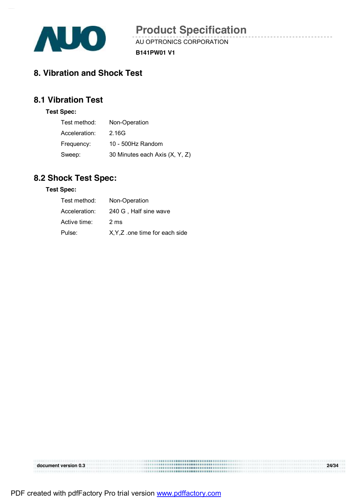

AU OPTRONICS CORPORATION

**B141PW01 V1** 

## **8. Vibration and Shock Test**

## **8.1 Vibration Test**

#### **Test Spec:**

| Test method:  | Non-Operation                  |
|---------------|--------------------------------|
| Acceleration: | 2.16G                          |
| Frequency:    | 10 - 500Hz Random              |
| Sweep:        | 30 Minutes each Axis (X, Y, Z) |

# **8.2 Shock Test Spec:**

#### **Test Spec:**

| Test method:  | Non-Operation                  |
|---------------|--------------------------------|
| Acceleration: | 240 G, Half sine wave          |
| Active time:  | 2 ms                           |
| Pulse:        | X, Y, Z one time for each side |

|                      | <b></b> |       |
|----------------------|---------|-------|
| document version 0.3 |         | 24/34 |
|                      | <b></b> |       |
|                      |         |       |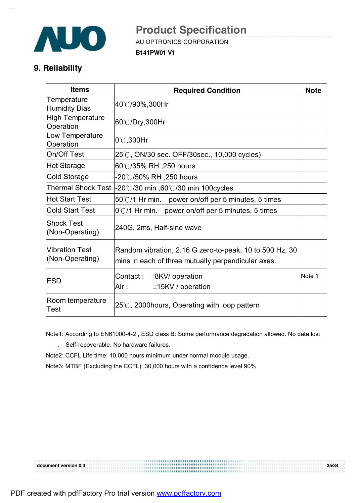

AU OPTRONICS CORPORATION

**B141PW01 V1** 

## **9. Reliability**

| <b>Items</b>                             | <b>Required Condition</b>                                                                                     | <b>Note</b> |  |
|------------------------------------------|---------------------------------------------------------------------------------------------------------------|-------------|--|
| Temperature<br><b>Humidity Bias</b>      | 40℃/90%,300Hr                                                                                                 |             |  |
| <b>High Temperature</b><br>Operation     | 60℃/Dry,300Hr                                                                                                 |             |  |
| Low Temperature<br>Operation             | $0^{\circ}$ C, 300Hr                                                                                          |             |  |
| On/Off Test                              | 25℃, ON/30 sec. OFF/30sec., 10,000 cycles)                                                                    |             |  |
| Hot Storage                              | 60℃/35% RH ,250 hours                                                                                         |             |  |
| Cold Storage                             | -20℃/50% RH ,250 hours                                                                                        |             |  |
|                                          | Thermal Shock Test $ -20^{\circ}\text{C}/30$ min ,60°C/30 min 100cycles                                       |             |  |
| Hot Start Test                           | $50^{\circ}$ C/1 Hr min. power on/off per 5 minutes, 5 times                                                  |             |  |
| <b>Cold Start Test</b>                   | $0^{\circ}$ C/1 Hr min. power on/off per 5 minutes, 5 times                                                   |             |  |
| <b>Shock Test</b><br>(Non-Operating)     | 240G, 2ms, Half-sine wave                                                                                     |             |  |
| <b>Vibration Test</b><br>(Non-Operating) | Random vibration, 2.16 G zero-to-peak, 10 to 500 Hz, 30<br>mins in each of three mutually perpendicular axes. |             |  |
| <b>ESD</b>                               | Contact :<br>$±8$ KV/ operation<br>Air :<br>±15KV / operation                                                 | Note 1      |  |
| Room temperature<br>Test                 | 25℃, 2000hours, Operating with loop pattern                                                                   |             |  |

 Note1: According to EN61000-4-2 , ESD class B: Some performance degradation allowed. No data lost . Self-recoverable. No hardware failures.

Note2: CCFL Life time: 10,000 hours minimum under normal module usage.

Note3: MTBF (Excluding the CCFL): 30,000 hours with a confidence level 90%

**document version 0.3 25/34**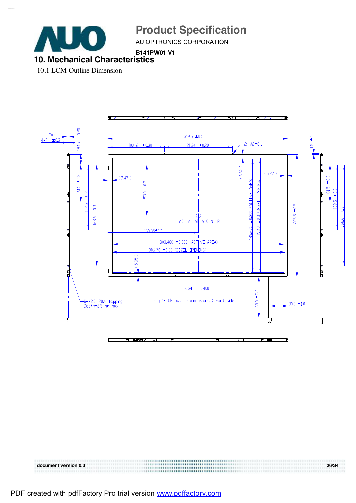

AU OPTRONICS CORPORATION

#### **B141PW01 V1 10. Mechanical Characteristics**

10.1 LCM Outline Dimension



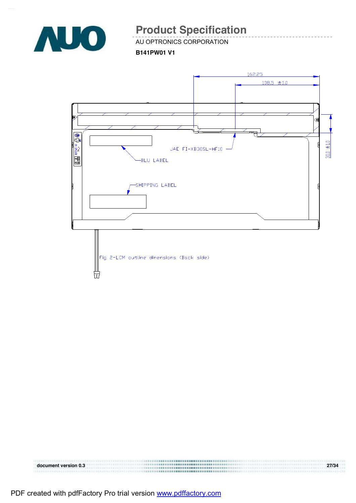

AU OPTRONICS CORPORATION

**B141PW01 V1** 



| document version 0.3 |                                    | 27/34 |
|----------------------|------------------------------------|-------|
|                      | ,,,,,,,,,,,,,,,,,,,,,,,,,,,,,,,,,, |       |
|                      |                                    |       |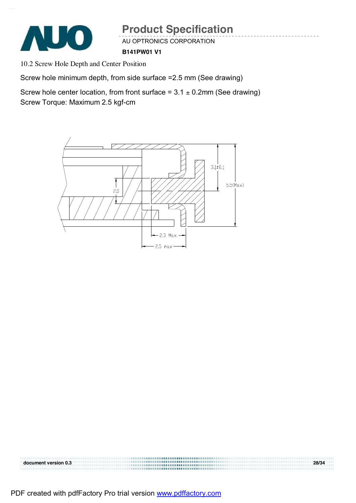

AU OPTRONICS CORPORATION

**B141PW01 V1** 

10.2 Screw Hole Depth and Center Position

Screw hole minimum depth, from side surface =2.5 mm (See drawing)

Screw hole center location, from front surface =  $3.1 \pm 0.2$ mm (See drawing) Screw Torque: Maximum 2.5 kgf-cm





PDF created with pdfFactory Pro trial version [www.pdffactory.com](http://www.pdffactory.com)

**document version 0.3 28/34**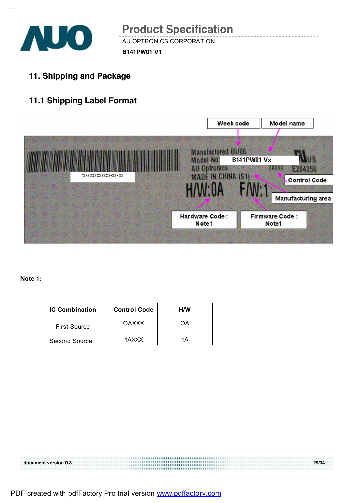

AU OPTRONICS CORPORATION

**B141PW01 V1** 

**11. Shipping and Package** 

# **11.1 Shipping Label Format**



**Note 1:** 

| <b>IC Combination</b> | <b>Control Code</b> | H/W |
|-----------------------|---------------------|-----|
| <b>First Source</b>   | <b>OAXXX</b>        | OΑ  |
| Second Source         | 1AXXX               | 1Δ  |

**document version 0.3 29/34**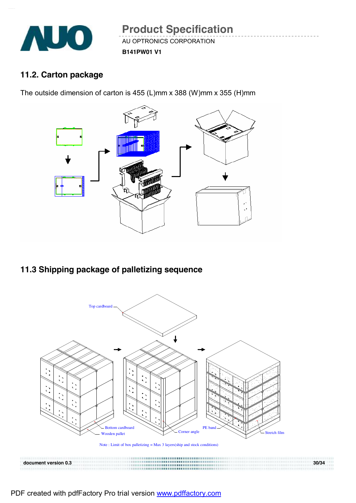

#### **B141PW01 V1**

# **11.2. Carton package**

The outside dimension of carton is 455 (L)mm x 388 (W)mm x 355 (H)mm



# **11.3 Shipping package of palletizing sequence**



Note : Limit of box palletizing = Max 3 layers(ship and stock conditions)

**document version 0.3 30/34**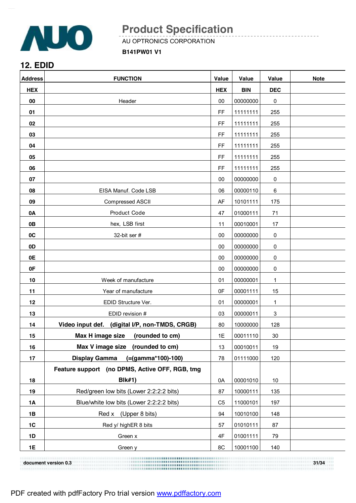

AU OPTRONICS CORPORATION

**B141PW01 V1** 

### **12. EDID**

| <b>Address</b> | <b>FUNCTION</b>                                | Value          | Value      | Value      | <b>Note</b> |
|----------------|------------------------------------------------|----------------|------------|------------|-------------|
| <b>HEX</b>     |                                                | <b>HEX</b>     | <b>BIN</b> | <b>DEC</b> |             |
| 00             | Header                                         | 00             | 00000000   | 0          |             |
| 01             |                                                | FF             | 11111111   | 255        |             |
| 02             |                                                | <b>FF</b>      | 11111111   | 255        |             |
| 03             |                                                | FF             | 11111111   | 255        |             |
| 04             |                                                | FF             | 11111111   | 255        |             |
| 05             |                                                | FF             | 11111111   | 255        |             |
| 06             |                                                | FF             | 11111111   | 255        |             |
| 07             |                                                | 00             | 00000000   | 0          |             |
| 08             | EISA Manuf. Code LSB                           | 06             | 00000110   | 6          |             |
| 09             | Compressed ASCII                               | AF             | 10101111   | 175        |             |
| 0A             | Product Code                                   | 47             | 01000111   | 71         |             |
| 0B             | hex, LSB first                                 | 11             | 00010001   | 17         |             |
| 0C             | 32-bit ser #                                   | $00\,$         | 00000000   | 0          |             |
| 0D             |                                                | 00             | 00000000   | 0          |             |
| 0E             |                                                | 00             | 00000000   | 0          |             |
| 0F             |                                                | 00             | 00000000   | 0          |             |
| 10             | Week of manufacture                            | 01             | 00000001   | 1          |             |
| 11             | Year of manufacture                            | 0F             | 00001111   | 15         |             |
| 12             | EDID Structure Ver.                            | 01             | 00000001   | 1          |             |
| 13             | EDID revision #                                | 03             | 00000011   | 3          |             |
| 14             | Video input def. (digital I/P, non-TMDS, CRGB) | 80             | 10000000   | 128        |             |
| 15             | Max H image size<br>(rounded to cm)            | 1E             | 00011110   | 30         |             |
| 16             | Max V image size (rounded to cm)               | 13             | 00010011   | 19         |             |
| 17             | $( = (gamma*100)-100)$<br><b>Display Gamma</b> | 78             | 01111000   | 120        |             |
|                | Feature support (no DPMS, Active OFF, RGB, tmg |                |            |            |             |
| 18             | <b>BIk#1)</b>                                  | 0A             | 00001010   | $10$       |             |
| 19             | Red/green low bits (Lower 2:2:2:2 bits)        | 87             | 10000111   | 135        |             |
| <b>1A</b>      | Blue/white low bits (Lower 2:2:2:2 bits)       | C <sub>5</sub> | 11000101   | 197        |             |
| 1B             | Red x (Upper 8 bits)                           | 94             | 10010100   | 148        |             |
| $1C$           | Red y/ highER 8 bits                           | 57             | 01010111   | 87         |             |
| 1D             | Green x                                        | 4F             | 01001111   | 79         |             |
| 1E             | Green y                                        | 8C             | 10001100   | 140        |             |

**document version 0.3 31/34**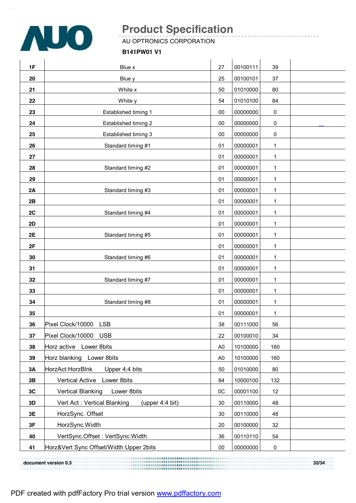

AU OPTRONICS CORPORATION

#### **B141PW01 V1**

| 1F | Blue x                                         | 27             | 00100111 | 39  |  |
|----|------------------------------------------------|----------------|----------|-----|--|
| 20 | Blue y                                         | 25             | 00100101 | 37  |  |
| 21 | White x                                        | 50             | 01010000 | 80  |  |
| 22 | White y                                        | 54             | 01010100 | 84  |  |
| 23 | Established timing 1                           | 00             | 00000000 | 0   |  |
| 24 | Established timing 2                           | 00             | 00000000 | 0   |  |
| 25 | Established timing 3                           | 00             | 00000000 | 0   |  |
| 26 | Standard timing #1                             | 01             | 00000001 | 1   |  |
| 27 |                                                | 01             | 00000001 | 1   |  |
| 28 | Standard timing #2                             | 01             | 00000001 | 1   |  |
| 29 |                                                | 01             | 00000001 | 1   |  |
| 2A | Standard timing #3                             | 01             | 00000001 | 1   |  |
| 2B |                                                | 01             | 00000001 | 1   |  |
| 2C | Standard timing #4                             | 01             | 00000001 | 1   |  |
| 2D |                                                | 01             | 00000001 | 1   |  |
| 2E | Standard timing #5                             | 01             | 00000001 | 1   |  |
| 2F |                                                | 01             | 00000001 | 1   |  |
| 30 | Standard timing #6                             | 01             | 00000001 | 1   |  |
| 31 |                                                | 01             | 00000001 | 1   |  |
| 32 | Standard timing #7                             | 01             | 00000001 | 1   |  |
| 33 |                                                | 01             | 00000001 | 1   |  |
| 34 | Standard timing #8                             | 01             | 00000001 | 1   |  |
| 35 |                                                | 01             | 00000001 | 1   |  |
| 36 | Pixel Clock/10000 LSB                          | 38             | 00111000 | 56  |  |
| 37 | Pixel Clock/10000 USB                          | 22             | 00100010 | 34  |  |
| 38 | Horz active Lower 8bits                        | A <sub>0</sub> | 10100000 | 160 |  |
| 39 | Horz blanking Lower 8bits                      | A <sub>0</sub> | 10100000 | 160 |  |
| 3A | Upper 4:4 bits<br>HorzAct:HorzBlnk             | 50             | 01010000 | 80  |  |
| 3B | Vertical Active Lower 8bits                    | 84             | 10000100 | 132 |  |
| 3C | <b>Vertical Blanking</b><br>Lower 8bits        | OC             | 00001100 | 12  |  |
| 3D | Vert Act: Vertical Blanking<br>(upper 4:4 bit) | 30             | 00110000 | 48  |  |
| 3E | HorzSync. Offset                               | 30             | 00110000 | 48  |  |
| 3F | HorzSync. Width                                | 20             | 00100000 | 32  |  |
| 40 | VertSync.Offset: VertSync.Width                | 36             | 00110110 | 54  |  |
| 41 | Horz‖ Sync Offset/Width Upper 2bits            | $00\,$         | 00000000 | 0   |  |
|    |                                                |                |          |     |  |

**document version 0.3 32/34**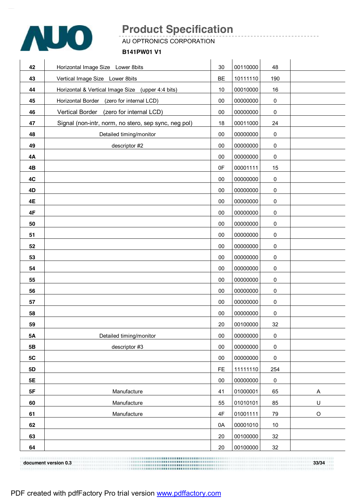

AU OPTRONICS CORPORATION

#### **B141PW01 V1**

| 42        | Horizontal Image Size Lower 8bits                    | 30        | 00110000 | 48        |             |
|-----------|------------------------------------------------------|-----------|----------|-----------|-------------|
| 43        | Vertical Image Size Lower 8bits                      | BE        | 10111110 | 190       |             |
| 44        | Horizontal & Vertical Image Size (upper 4:4 bits)    | 10        | 00010000 | 16        |             |
| 45        | Horizontal Border (zero for internal LCD)            | 00        | 00000000 | $\pmb{0}$ |             |
| 46        | Vertical Border (zero for internal LCD)              | 00        | 00000000 | $\pmb{0}$ |             |
| 47        | Signal (non-intr, norm, no stero, sep sync, neg pol) | 18        | 00011000 | 24        |             |
| 48        | Detailed timing/monitor                              | $00\,$    | 00000000 | $\pmb{0}$ |             |
| 49        | descriptor #2                                        | $00\,$    | 00000000 | $\pmb{0}$ |             |
| 4A        |                                                      | 00        | 00000000 | $\pmb{0}$ |             |
| 4B        |                                                      | 0F        | 00001111 | 15        |             |
| 4C        |                                                      | $00\,$    | 00000000 | 0         |             |
| 4D        |                                                      | $00\,$    | 00000000 | $\pmb{0}$ |             |
| 4E        |                                                      | 00        | 00000000 | $\pmb{0}$ |             |
| 4F        |                                                      | $00\,$    | 00000000 | $\pmb{0}$ |             |
| 50        |                                                      | $00\,$    | 00000000 | 0         |             |
| 51        |                                                      | $00\,$    | 00000000 | $\pmb{0}$ |             |
| 52        |                                                      | 00        | 00000000 | $\pmb{0}$ |             |
| 53        |                                                      | $00\,$    | 00000000 | $\pmb{0}$ |             |
| 54        |                                                      | 00        | 00000000 | $\pmb{0}$ |             |
| 55        |                                                      | 00        | 00000000 | $\pmb{0}$ |             |
| 56        |                                                      | 00        | 00000000 | $\pmb{0}$ |             |
| 57        |                                                      | $00\,$    | 00000000 | $\pmb{0}$ |             |
| 58        |                                                      | $00\,$    | 00000000 | $\pmb{0}$ |             |
| 59        |                                                      | 20        | 00100000 | 32        |             |
| <b>5A</b> | Detailed timing/monitor                              | $00\,$    | 00000000 | $\pmb{0}$ |             |
| 5B        | descriptor #3                                        | 00        | 00000000 | $\pmb{0}$ |             |
| $5C$      |                                                      | $00\,$    | 00000000 | $\pmb{0}$ |             |
| 5D        |                                                      | <b>FE</b> | 11111110 | 254       |             |
| 5E        |                                                      | $00\,$    | 00000000 | $\pmb{0}$ |             |
| 5F        | Manufacture                                          | 41        | 01000001 | 65        | Α           |
| 60        | Manufacture                                          | 55        | 01010101 | 85        | U           |
| 61        | Manufacture                                          | 4F        | 01001111 | 79        | $\mathsf O$ |
| 62        |                                                      | 0A        | 00001010 | $10$      |             |
| 63        |                                                      | 20        | 00100000 | 32        |             |
| 64        |                                                      | 20        | 00100000 | $32\,$    |             |

**document version 0.3 33/34**